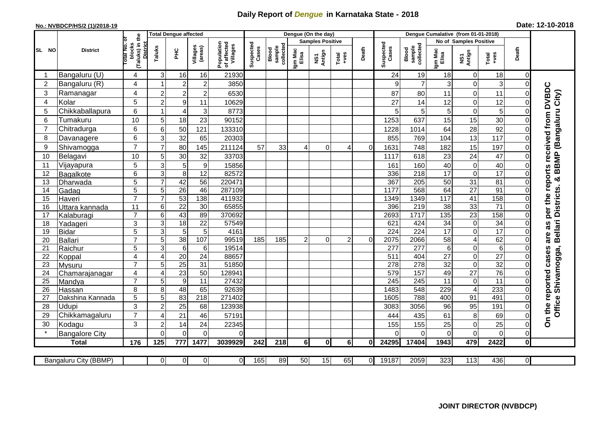## **Daily Report of** *Dengue* **in Karnataka State - 2018**

## **No.: NVBDCP/HS/2 (1)/2018-19 Date: 12-10-2018**

|                                                                                                                                                                                            | <b>District</b>          | the                                                  | <b>Total Dengue affected</b> |                       |                           |                                       |                    |                              |                         | Dengue (On the day) |                |          |                    |                              |                       |                                     |                 |                     |                                            |
|--------------------------------------------------------------------------------------------------------------------------------------------------------------------------------------------|--------------------------|------------------------------------------------------|------------------------------|-----------------------|---------------------------|---------------------------------------|--------------------|------------------------------|-------------------------|---------------------|----------------|----------|--------------------|------------------------------|-----------------------|-------------------------------------|-----------------|---------------------|--------------------------------------------|
|                                                                                                                                                                                            |                          | ö                                                    |                              |                       |                           |                                       |                    |                              | <b>Samples Positive</b> |                     |                |          |                    |                              |                       | No of Samples Positive              |                 |                     |                                            |
| SL NO                                                                                                                                                                                      |                          | (Taluks) in<br>otal No.<br>blocks<br><b>District</b> | Taluks                       | PНC                   | Villages<br>(areas)       | Population<br>of affected<br>Villages | Suspected<br>Cases | Blood<br>sample<br>collected | Igm Mac<br>Elisa        | NS1<br>Antign       | +ves<br>Total  | Death    | Suspected<br>Cases | Blood<br>sample<br>collected | Igm Mac<br>Elisa      | NS1<br>Antign                       | Total<br>+ves   | Death               |                                            |
|                                                                                                                                                                                            | Bangaluru (U)            | 4                                                    | 3                            | 16                    | 16                        | 21930                                 |                    |                              |                         |                     |                |          | 24                 | 19                           | 18                    | 0                                   | 18              | 0                   |                                            |
| $\overline{2}$                                                                                                                                                                             | Bangaluru (R)            | 4                                                    | 1                            | $\overline{c}$        | $\overline{2}$            | 3850                                  |                    |                              |                         |                     |                |          | 9                  | $\overline{7}$               | 3                     | $\mathbf 0$                         | 3               | $\mathbf 0$         |                                            |
| 3                                                                                                                                                                                          | Ramanagar                | 4                                                    | $\overline{2}$               | $\overline{c}$        | $\mathbf 2$               | 6530                                  |                    |                              |                         |                     |                |          | 87                 | 80                           | 11                    | $\mathbf 0$                         | 11              | $\Omega$            | are as per the reports received from DVBDC |
| 4                                                                                                                                                                                          | Kolar                    | 5                                                    | $\overline{2}$               | $\boldsymbol{9}$      | 11                        | 10629                                 |                    |                              |                         |                     |                |          | 27                 | 14                           | 12                    | $\mathbf 0$                         | 12              | $\Omega$            | (Bangaluru City)                           |
| 5                                                                                                                                                                                          | Chikkaballapura          | 6                                                    | 1                            | 4                     | $\ensuremath{\mathsf{3}}$ | 8773                                  |                    |                              |                         |                     |                |          | 5                  | 5 <sup>1</sup>               | $5\phantom{.0}$       | $\,0\,$                             | 5               | 0                   |                                            |
| 6                                                                                                                                                                                          | Tumakuru                 | 10                                                   | 5                            | 18                    | 23                        | 90152                                 |                    |                              |                         |                     |                |          | 1253               | 637                          | 15                    | 15                                  | 30              | $\Omega$            |                                            |
| 7                                                                                                                                                                                          | Chitradurga              | 6                                                    | 6                            | 50                    | 121                       | 133310                                |                    |                              |                         |                     |                |          | 1228               | 1014                         | 64                    | 28                                  | 92              | 0                   |                                            |
| 8                                                                                                                                                                                          | Davanagere               | 6                                                    | 3                            | 32                    | 65                        | 20303                                 |                    |                              |                         |                     |                |          | 855                | 769                          | 104                   | 13                                  | 117             | 0                   |                                            |
| 9                                                                                                                                                                                          | Shivamogga               | $\overline{7}$                                       | $\overline{7}$               | 80                    | 145                       | 211124                                | 57                 | 33                           | 4                       | $\mathbf 0$         | $\overline{4}$ | $\Omega$ | 1631               | 748                          | 182                   | 15                                  | 197             | $\Omega$            |                                            |
| 10                                                                                                                                                                                         | Belagavi                 | 10                                                   | 5                            | 30                    | 32                        | 33703                                 |                    |                              |                         |                     |                |          | 1117               | 618                          | 23                    | $\overline{24}$                     | 47              | $\Omega$            | <b>BBMP</b>                                |
| 11                                                                                                                                                                                         | Vijayapura               | 5                                                    | 3                            | 5                     | $\boldsymbol{9}$          | 15856                                 |                    |                              |                         |                     |                |          | 161                | 160                          | 40                    | $\mathbf 0$                         | 40              | $\Omega$            |                                            |
| 12                                                                                                                                                                                         | Bagalkote                | 6                                                    | 3                            | $\overline{8}$        | $\overline{12}$           | 82572                                 |                    |                              |                         |                     |                |          | 336                | $\overline{218}$             | 17                    | $\overline{0}$                      | 17              | $\overline{0}$      |                                            |
| 13                                                                                                                                                                                         | Dharwada                 | 5                                                    | $\overline{7}$               | 42                    | $\overline{56}$           | 220471                                |                    |                              |                         |                     |                |          | 367                | $\overline{205}$             | 50                    | $\overline{31}$                     | 81              | $\mathbf 0$         | ×                                          |
| 14                                                                                                                                                                                         | Gadag                    | $\overline{5}$                                       | 5                            | $\overline{26}$       | 46                        | 287109                                |                    |                              |                         |                     |                |          | 1177               | 568                          | 64                    | 27                                  | $\overline{91}$ | $\mathbf 0$         |                                            |
| 15                                                                                                                                                                                         | Haveri                   | $\overline{7}$                                       | $\overline{7}$               | 53                    | 138                       | 411932                                |                    |                              |                         |                     |                |          | 1349               | 1349                         | $\frac{1}{117}$       | 41                                  | 158             | $\mathbf 0$         | Bellari Districts.                         |
| 16                                                                                                                                                                                         | Uttara kannada           | 11                                                   | 6                            | $\overline{22}$       | $\overline{30}$           | 65855                                 |                    |                              |                         |                     |                |          | 396                | $\overline{219}$             | $\overline{38}$       | 33                                  | $\overline{71}$ | 0                   |                                            |
| 17                                                                                                                                                                                         | Kalaburagi               | $\overline{7}$                                       | $6\phantom{1}6$              | 43                    | 89                        | 370692                                |                    |                              |                         |                     |                |          | 2693               | 1717                         | $\overline{135}$      | 23                                  | 158             | $\Omega$            |                                            |
| 18                                                                                                                                                                                         | Yadageri                 | 3                                                    | 3                            | 18                    | 22                        | 57549                                 |                    |                              |                         |                     |                |          | 621                | 424                          | 34                    | $\mathbf 0$                         | 34              | $\Omega$            |                                            |
| 19                                                                                                                                                                                         | <b>Bidar</b>             | 5                                                    | 3                            | 5                     | $\mathbf 5$               | 4161                                  |                    |                              |                         |                     |                |          | 224                | $\overline{224}$             | $\overline{17}$       | $\pmb{0}$                           | $\overline{17}$ | $\Omega$            |                                            |
| 20                                                                                                                                                                                         | Ballari                  | $\overline{7}$                                       | $\overline{5}$               | 38                    | 107                       | 99519                                 | 185                | 185                          | $\overline{2}$          | $\mathbf{0}$        | $\overline{c}$ | 0        | 2075               | 2066                         | 58                    | $\overline{4}$                      | 62              | $\mathbf 0$         |                                            |
| 21                                                                                                                                                                                         | Raichur                  | 5                                                    | 3                            | $\overline{6}$        | 6                         | 19514                                 |                    |                              |                         |                     |                |          | 277                | $\overline{277}$             | $\overline{6}$        | $\overline{0}$                      | $\overline{6}$  | $\mathbf 0$         |                                            |
| 22                                                                                                                                                                                         | Koppal                   | 4<br>$\overline{7}$                                  | 4                            | 20                    | 24<br>$\overline{31}$     | 88657<br>51850                        |                    |                              |                         |                     |                |          | 511<br>278         | 404<br>278                   | 27                    | $\boldsymbol{0}$                    | 27<br>32        | 0<br>$\overline{0}$ |                                            |
| 23<br>24                                                                                                                                                                                   | Mysuru                   | 4                                                    | 5<br>$\overline{4}$          | $\overline{25}$<br>23 | 50                        | 12894                                 |                    |                              |                         |                     |                |          | 579                | 157                          | $\overline{32}$<br>49 | $\boldsymbol{0}$<br>$\overline{27}$ | 76              | $\overline{0}$      |                                            |
| 25                                                                                                                                                                                         | Chamarajanagar<br>Mandya | $\overline{7}$                                       | $\overline{5}$               | $\overline{9}$        | 11                        | 27432                                 |                    |                              |                         |                     |                |          | 245                | $\overline{245}$             | 11                    | $\pmb{0}$                           | 11              | $\Omega$            | Shivamogga,                                |
| 26                                                                                                                                                                                         | Hassan                   | 8                                                    | 8                            | 48                    | 65                        | 92639                                 |                    |                              |                         |                     |                |          | 1483               | 548                          | 229                   | $\overline{\mathbf{4}}$             | 233             | $\mathbf 0$         |                                            |
| 27                                                                                                                                                                                         | Dakshina Kannada         | 5                                                    | 5                            | 83                    | $\overline{218}$          | 271402                                |                    |                              |                         |                     |                |          | 1605               | 788                          | 400                   | 91                                  | 491             | 0                   |                                            |
| 28                                                                                                                                                                                         | Udupi                    | 3                                                    | $\overline{2}$               | $\overline{25}$       | 68                        | 123938                                |                    |                              |                         |                     |                |          | 3083               | 3056                         | 96                    | 95                                  | 191             | $\mathbf 0$         | Office:                                    |
| 29                                                                                                                                                                                         | Chikkamagaluru           | $\overline{7}$                                       | 4                            | 21                    | 46                        | 57191                                 |                    |                              |                         |                     |                |          | 444                | 435                          | 61                    | $\bf 8$                             | 69              | $\overline{0}$      |                                            |
| 30                                                                                                                                                                                         | Kodagu                   | 3                                                    | $\overline{2}$               | 14                    | 24                        | 22345                                 |                    |                              |                         |                     |                |          | 155                | 155                          | 25                    | $\pmb{0}$                           | 25              | 0                   | On the reported cases                      |
|                                                                                                                                                                                            | <b>Bangalore City</b>    |                                                      | $\Omega$                     | $\overline{0}$        | $\mathbf 0$               | $\Omega$                              |                    |                              |                         |                     |                |          | $\Omega$           | $\Omega$                     | $\Omega$              | $\mathbf 0$                         | 0               | $\mathbf 0$         |                                            |
|                                                                                                                                                                                            | <b>Total</b>             | 176                                                  | 125                          | 777                   | 1477                      | 3039929                               | 242                | 218                          | 6                       | 0                   | 6              | 0        | 24295              | 17404                        | 1943                  | 479                                 | 2422            | $\pmb{0}$           |                                            |
|                                                                                                                                                                                            |                          |                                                      |                              |                       |                           |                                       |                    |                              |                         |                     |                |          |                    |                              |                       |                                     |                 |                     |                                            |
| $\overline{0}$<br>$\overline{0}$<br>$\overline{0}$<br>165<br>89<br>50<br>15<br>65<br>19187<br>2059<br>323<br>113<br>436<br>$\overline{0}$<br>Bangaluru City (BBMP)<br>$\overline{0}$<br>01 |                          |                                                      |                              |                       |                           |                                       |                    |                              |                         |                     |                |          |                    |                              |                       |                                     |                 |                     |                                            |